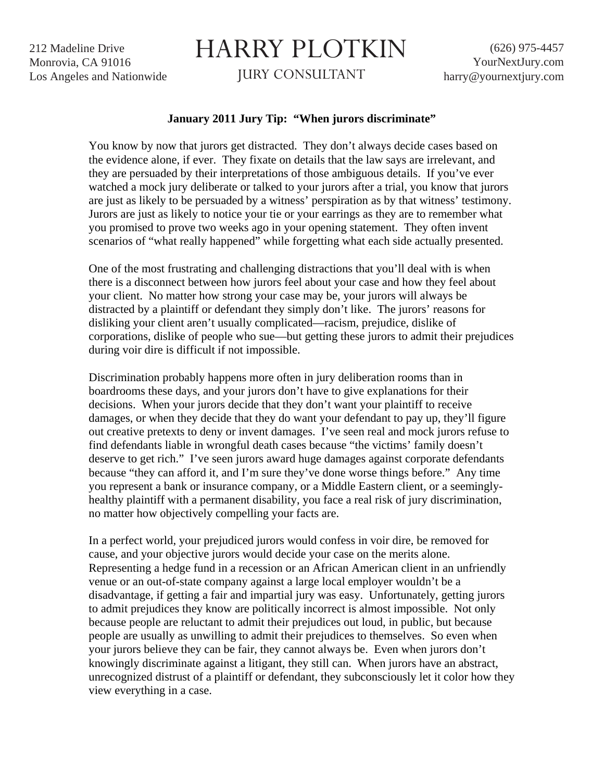212 Madeline Drive Monrovia, CA 91016 Los Angeles and Nationwide

## HARRY PLOTKIN

JURY CONSULTANT

## **January 2011 Jury Tip: "When jurors discriminate"**

You know by now that jurors get distracted. They don't always decide cases based on the evidence alone, if ever. They fixate on details that the law says are irrelevant, and they are persuaded by their interpretations of those ambiguous details. If you've ever watched a mock jury deliberate or talked to your jurors after a trial, you know that jurors are just as likely to be persuaded by a witness' perspiration as by that witness' testimony. Jurors are just as likely to notice your tie or your earrings as they are to remember what you promised to prove two weeks ago in your opening statement. They often invent scenarios of "what really happened" while forgetting what each side actually presented.

One of the most frustrating and challenging distractions that you'll deal with is when there is a disconnect between how jurors feel about your case and how they feel about your client. No matter how strong your case may be, your jurors will always be distracted by a plaintiff or defendant they simply don't like. The jurors' reasons for disliking your client aren't usually complicated—racism, prejudice, dislike of corporations, dislike of people who sue—but getting these jurors to admit their prejudices during voir dire is difficult if not impossible.

Discrimination probably happens more often in jury deliberation rooms than in boardrooms these days, and your jurors don't have to give explanations for their decisions. When your jurors decide that they don't want your plaintiff to receive damages, or when they decide that they do want your defendant to pay up, they'll figure out creative pretexts to deny or invent damages. I've seen real and mock jurors refuse to find defendants liable in wrongful death cases because "the victims' family doesn't deserve to get rich." I've seen jurors award huge damages against corporate defendants because "they can afford it, and I'm sure they've done worse things before." Any time you represent a bank or insurance company, or a Middle Eastern client, or a seeminglyhealthy plaintiff with a permanent disability, you face a real risk of jury discrimination, no matter how objectively compelling your facts are.

In a perfect world, your prejudiced jurors would confess in voir dire, be removed for cause, and your objective jurors would decide your case on the merits alone. Representing a hedge fund in a recession or an African American client in an unfriendly venue or an out-of-state company against a large local employer wouldn't be a disadvantage, if getting a fair and impartial jury was easy. Unfortunately, getting jurors to admit prejudices they know are politically incorrect is almost impossible. Not only because people are reluctant to admit their prejudices out loud, in public, but because people are usually as unwilling to admit their prejudices to themselves. So even when your jurors believe they can be fair, they cannot always be. Even when jurors don't knowingly discriminate against a litigant, they still can. When jurors have an abstract, unrecognized distrust of a plaintiff or defendant, they subconsciously let it color how they view everything in a case.